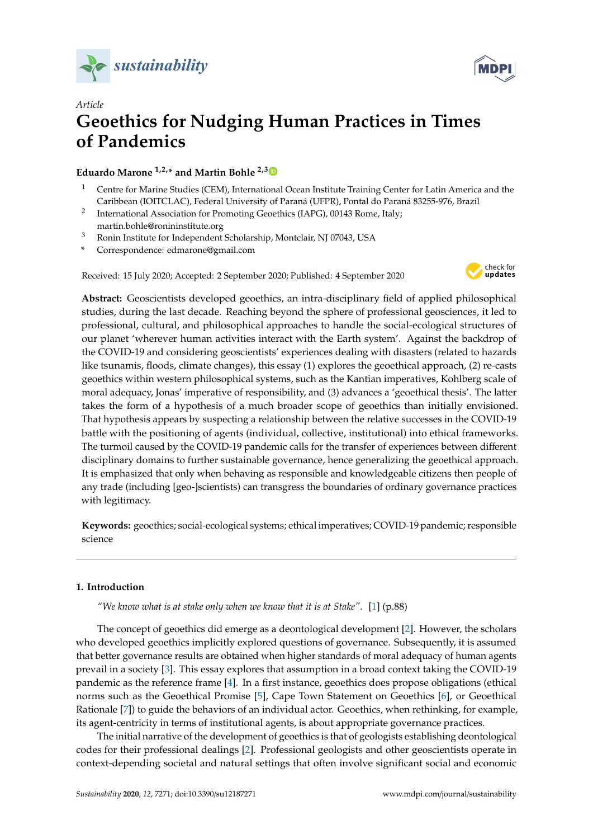



# *Article* **Geoethics for Nudging Human Practices in Times of Pandemics**

## **Eduardo Marone 1,2,\* and Martin Bohle 2,[3](https://orcid.org/0000-0002-8794-5810)**

- <sup>1</sup> Centre for Marine Studies (CEM), International Ocean Institute Training Center for Latin America and the Caribbean (IOITCLAC), Federal University of Paraná (UFPR), Pontal do Paraná 83255-976, Brazil
- 2 International Association for Promoting Geoethics (IAPG), 00143 Rome, Italy; martin.bohle@ronininstitute.org
- <sup>3</sup> Ronin Institute for Independent Scholarship, Montclair, NJ 07043, USA
- **\*** Correspondence: edmarone@gmail.com

Received: 15 July 2020; Accepted: 2 September 2020; Published: 4 September 2020



**Abstract:** Geoscientists developed geoethics, an intra-disciplinary field of applied philosophical studies, during the last decade. Reaching beyond the sphere of professional geosciences, it led to professional, cultural, and philosophical approaches to handle the social-ecological structures of our planet 'wherever human activities interact with the Earth system'. Against the backdrop of the COVID-19 and considering geoscientists' experiences dealing with disasters (related to hazards like tsunamis, floods, climate changes), this essay (1) explores the geoethical approach, (2) re-casts geoethics within western philosophical systems, such as the Kantian imperatives, Kohlberg scale of moral adequacy, Jonas' imperative of responsibility, and (3) advances a 'geoethical thesis'. The latter takes the form of a hypothesis of a much broader scope of geoethics than initially envisioned. That hypothesis appears by suspecting a relationship between the relative successes in the COVID-19 battle with the positioning of agents (individual, collective, institutional) into ethical frameworks. The turmoil caused by the COVID-19 pandemic calls for the transfer of experiences between different disciplinary domains to further sustainable governance, hence generalizing the geoethical approach. It is emphasized that only when behaving as responsible and knowledgeable citizens then people of any trade (including [geo-]scientists) can transgress the boundaries of ordinary governance practices with legitimacy.

**Keywords:** geoethics; social-ecological systems; ethical imperatives; COVID-19 pandemic; responsible science

## **1. Introduction**

*"We know what is at stake only when we know that it is at Stake"*. [\[1\]](#page-12-0) (p.88)

The concept of geoethics did emerge as a deontological development [\[2\]](#page-12-1). However, the scholars who developed geoethics implicitly explored questions of governance. Subsequently, it is assumed that better governance results are obtained when higher standards of moral adequacy of human agents prevail in a society [\[3\]](#page-12-2). This essay explores that assumption in a broad context taking the COVID-19 pandemic as the reference frame [\[4\]](#page-12-3). In a first instance, geoethics does propose obligations (ethical norms such as the Geoethical Promise [\[5\]](#page-12-4), Cape Town Statement on Geoethics [\[6\]](#page-12-5), or Geoethical Rationale [\[7\]](#page-12-6)) to guide the behaviors of an individual actor. Geoethics, when rethinking, for example, its agent-centricity in terms of institutional agents, is about appropriate governance practices.

The initial narrative of the development of geoethics is that of geologists establishing deontological codes for their professional dealings [\[2\]](#page-12-1). Professional geologists and other geoscientists operate in context-depending societal and natural settings that often involve significant social and economic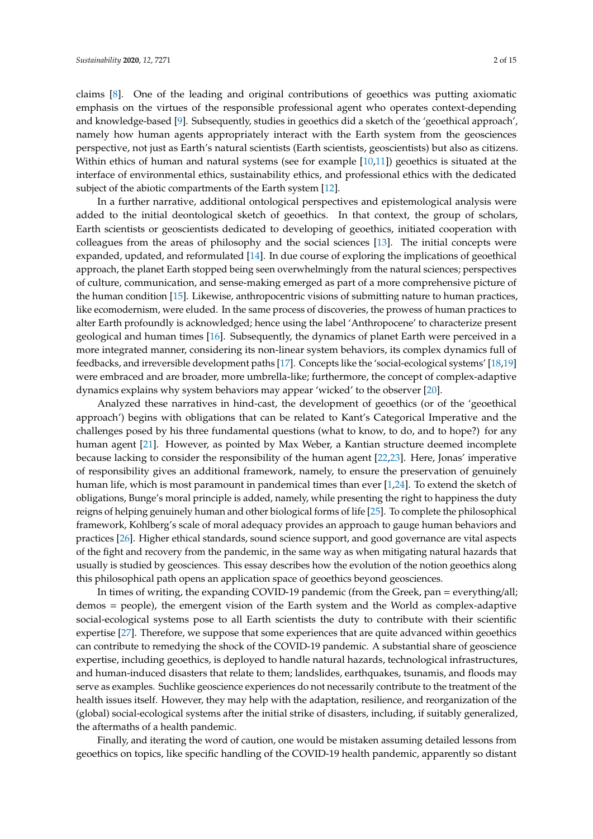claims [\[8\]](#page-12-7). One of the leading and original contributions of geoethics was putting axiomatic emphasis on the virtues of the responsible professional agent who operates context-depending and knowledge-based [\[9\]](#page-12-8). Subsequently, studies in geoethics did a sketch of the 'geoethical approach', namely how human agents appropriately interact with the Earth system from the geosciences perspective, not just as Earth's natural scientists (Earth scientists, geoscientists) but also as citizens. Within ethics of human and natural systems (see for example [\[10,](#page-12-9)[11\]](#page-12-10)) geoethics is situated at the interface of environmental ethics, sustainability ethics, and professional ethics with the dedicated subject of the abiotic compartments of the Earth system [\[12\]](#page-12-11).

In a further narrative, additional ontological perspectives and epistemological analysis were added to the initial deontological sketch of geoethics. In that context, the group of scholars, Earth scientists or geoscientists dedicated to developing of geoethics, initiated cooperation with colleagues from the areas of philosophy and the social sciences [\[13\]](#page-12-12). The initial concepts were expanded, updated, and reformulated [\[14\]](#page-12-13). In due course of exploring the implications of geoethical approach, the planet Earth stopped being seen overwhelmingly from the natural sciences; perspectives of culture, communication, and sense-making emerged as part of a more comprehensive picture of the human condition [\[15\]](#page-12-14). Likewise, anthropocentric visions of submitting nature to human practices, like ecomodernism, were eluded. In the same process of discoveries, the prowess of human practices to alter Earth profoundly is acknowledged; hence using the label 'Anthropocene' to characterize present geological and human times [\[16\]](#page-12-15). Subsequently, the dynamics of planet Earth were perceived in a more integrated manner, considering its non-linear system behaviors, its complex dynamics full of feedbacks, and irreversible development paths [\[17\]](#page-12-16). Concepts like the 'social-ecological systems' [\[18,](#page-12-17)[19\]](#page-12-18) were embraced and are broader, more umbrella-like; furthermore, the concept of complex-adaptive dynamics explains why system behaviors may appear 'wicked' to the observer [\[20\]](#page-12-19).

Analyzed these narratives in hind-cast, the development of geoethics (or of the 'geoethical approach') begins with obligations that can be related to Kant's Categorical Imperative and the challenges posed by his three fundamental questions (what to know, to do, and to hope?) for any human agent [\[21\]](#page-12-20). However, as pointed by Max Weber, a Kantian structure deemed incomplete because lacking to consider the responsibility of the human agent [\[22](#page-12-21)[,23\]](#page-12-22). Here, Jonas' imperative of responsibility gives an additional framework, namely, to ensure the preservation of genuinely human life, which is most paramount in pandemical times than ever [\[1,](#page-12-0)[24\]](#page-12-23). To extend the sketch of obligations, Bunge's moral principle is added, namely, while presenting the right to happiness the duty reigns of helping genuinely human and other biological forms of life [\[25\]](#page-12-24). To complete the philosophical framework, Kohlberg's scale of moral adequacy provides an approach to gauge human behaviors and practices [\[26\]](#page-12-25). Higher ethical standards, sound science support, and good governance are vital aspects of the fight and recovery from the pandemic, in the same way as when mitigating natural hazards that usually is studied by geosciences. This essay describes how the evolution of the notion geoethics along this philosophical path opens an application space of geoethics beyond geosciences.

In times of writing, the expanding COVID-19 pandemic (from the Greek, pan = everything/all; demos = people), the emergent vision of the Earth system and the World as complex-adaptive social-ecological systems pose to all Earth scientists the duty to contribute with their scientific expertise [\[27\]](#page-13-0). Therefore, we suppose that some experiences that are quite advanced within geoethics can contribute to remedying the shock of the COVID-19 pandemic. A substantial share of geoscience expertise, including geoethics, is deployed to handle natural hazards, technological infrastructures, and human-induced disasters that relate to them; landslides, earthquakes, tsunamis, and floods may serve as examples. Suchlike geoscience experiences do not necessarily contribute to the treatment of the health issues itself. However, they may help with the adaptation, resilience, and reorganization of the (global) social-ecological systems after the initial strike of disasters, including, if suitably generalized, the aftermaths of a health pandemic.

Finally, and iterating the word of caution, one would be mistaken assuming detailed lessons from geoethics on topics, like specific handling of the COVID-19 health pandemic, apparently so distant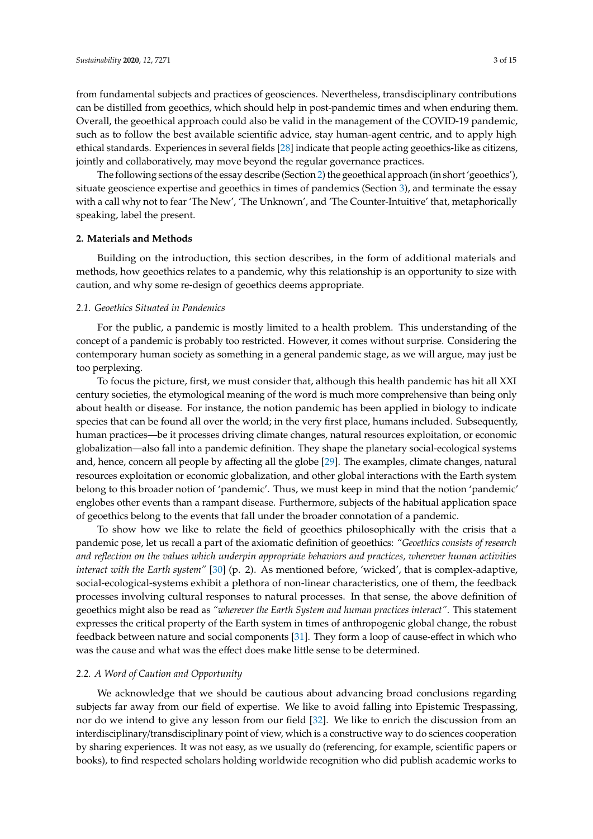from fundamental subjects and practices of geosciences. Nevertheless, transdisciplinary contributions can be distilled from geoethics, which should help in post-pandemic times and when enduring them. Overall, the geoethical approach could also be valid in the management of the COVID-19 pandemic, such as to follow the best available scientific advice, stay human-agent centric, and to apply high ethical standards. Experiences in several fields [\[28\]](#page-13-1) indicate that people acting geoethics-like as citizens, jointly and collaboratively, may move beyond the regular governance practices.

The following sections of the essay describe (Section [2\)](#page-2-0) the geoethical approach (in short 'geoethics'), situate geoscience expertise and geoethics in times of pandemics (Section [3\)](#page-7-0), and terminate the essay with a call why not to fear 'The New', 'The Unknown', and 'The Counter-Intuitive' that, metaphorically speaking, label the present.

#### <span id="page-2-0"></span>**2. Materials and Methods**

Building on the introduction, this section describes, in the form of additional materials and methods, how geoethics relates to a pandemic, why this relationship is an opportunity to size with caution, and why some re-design of geoethics deems appropriate.

#### *2.1. Geoethics Situated in Pandemics*

For the public, a pandemic is mostly limited to a health problem. This understanding of the concept of a pandemic is probably too restricted. However, it comes without surprise. Considering the contemporary human society as something in a general pandemic stage, as we will argue, may just be too perplexing.

To focus the picture, first, we must consider that, although this health pandemic has hit all XXI century societies, the etymological meaning of the word is much more comprehensive than being only about health or disease. For instance, the notion pandemic has been applied in biology to indicate species that can be found all over the world; in the very first place, humans included. Subsequently, human practices—be it processes driving climate changes, natural resources exploitation, or economic globalization—also fall into a pandemic definition. They shape the planetary social-ecological systems and, hence, concern all people by affecting all the globe [\[29\]](#page-13-2). The examples, climate changes, natural resources exploitation or economic globalization, and other global interactions with the Earth system belong to this broader notion of 'pandemic'. Thus, we must keep in mind that the notion 'pandemic' englobes other events than a rampant disease. Furthermore, subjects of the habitual application space of geoethics belong to the events that fall under the broader connotation of a pandemic.

To show how we like to relate the field of geoethics philosophically with the crisis that a pandemic pose, let us recall a part of the axiomatic definition of geoethics: *"Geoethics consists of research and reflection on the values which underpin appropriate behaviors and practices, wherever human activities interact with the Earth system"* [\[30\]](#page-13-3) (p. 2). As mentioned before, 'wicked', that is complex-adaptive, social-ecological-systems exhibit a plethora of non-linear characteristics, one of them, the feedback processes involving cultural responses to natural processes. In that sense, the above definition of geoethics might also be read as *"wherever the Earth System and human practices interact"*. This statement expresses the critical property of the Earth system in times of anthropogenic global change, the robust feedback between nature and social components [\[31\]](#page-13-4). They form a loop of cause-effect in which who was the cause and what was the effect does make little sense to be determined.

#### *2.2. A Word of Caution and Opportunity*

We acknowledge that we should be cautious about advancing broad conclusions regarding subjects far away from our field of expertise. We like to avoid falling into Epistemic Trespassing, nor do we intend to give any lesson from our field [\[32\]](#page-13-5). We like to enrich the discussion from an interdisciplinary/transdisciplinary point of view, which is a constructive way to do sciences cooperation by sharing experiences. It was not easy, as we usually do (referencing, for example, scientific papers or books), to find respected scholars holding worldwide recognition who did publish academic works to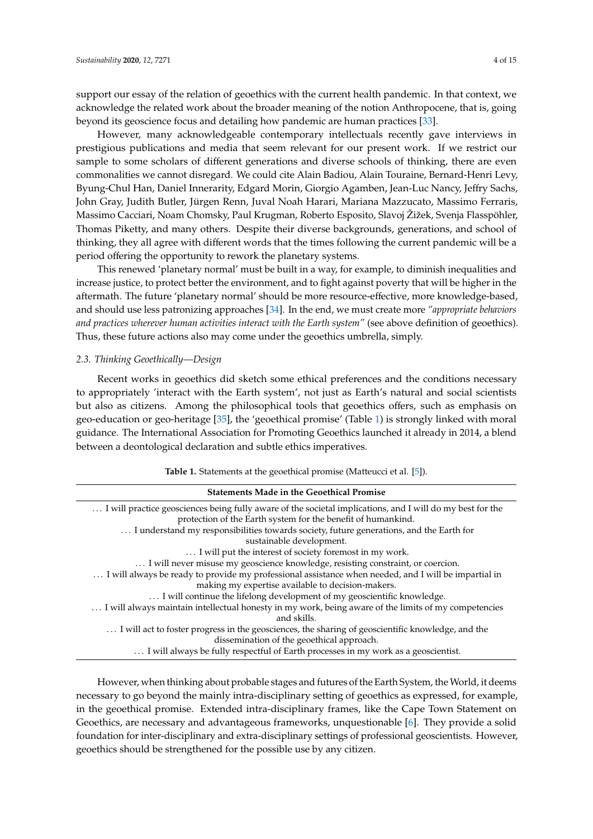support our essay of the relation of geoethics with the current health pandemic. In that context, we acknowledge the related work about the broader meaning of the notion Anthropocene, that is, going beyond its geoscience focus and detailing how pandemic are human practices [\[33\]](#page-13-6).

However, many acknowledgeable contemporary intellectuals recently gave interviews in prestigious publications and media that seem relevant for our present work. If we restrict our sample to some scholars of different generations and diverse schools of thinking, there are even commonalities we cannot disregard. We could cite Alain Badiou, Alain Touraine, Bernard-Henri Levy, Byung-Chul Han, Daniel Innerarity, Edgard Morin, Giorgio Agamben, Jean-Luc Nancy, Jeffry Sachs, John Gray, Judith Butler, Jürgen Renn, Juval Noah Harari, Mariana Mazzucato, Massimo Ferraris, Massimo Cacciari, Noam Chomsky, Paul Krugman, Roberto Esposito, Slavoj Žižek, Svenja Flasspöhler, Thomas Piketty, and many others. Despite their diverse backgrounds, generations, and school of thinking, they all agree with different words that the times following the current pandemic will be a period offering the opportunity to rework the planetary systems.

This renewed 'planetary normal' must be built in a way, for example, to diminish inequalities and increase justice, to protect better the environment, and to fight against poverty that will be higher in the aftermath. The future 'planetary normal' should be more resource-effective, more knowledge-based, and should use less patronizing approaches [\[34\]](#page-13-7). In the end, we must create more *"appropriate behaviors and practices wherever human activities interact with the Earth system"* (see above definition of geoethics). Thus, these future actions also may come under the geoethics umbrella, simply.

#### *2.3. Thinking Geoethically—Design*

Recent works in geoethics did sketch some ethical preferences and the conditions necessary to appropriately 'interact with the Earth system', not just as Earth's natural and social scientists but also as citizens. Among the philosophical tools that geoethics offers, such as emphasis on geo-education or geo-heritage [\[35\]](#page-13-8), the 'geoethical promise' (Table [1\)](#page-3-0) is strongly linked with moral guidance. The International Association for Promoting Geoethics launched it already in 2014, a blend between a deontological declaration and subtle ethics imperatives.

<span id="page-3-0"></span>

| <b>Statements Made in the Geoethical Promise</b>                                                          |
|-----------------------------------------------------------------------------------------------------------|
| I will practice geosciences being fully aware of the societal implications, and I will do my best for the |
| protection of the Earth system for the benefit of humankind.                                              |
| I understand my responsibilities towards society, future generations, and the Earth for                   |
| sustainable development.                                                                                  |
| I will put the interest of society foremost in my work.                                                   |
| I will never misuse my geoscience knowledge, resisting constraint, or coercion.                           |
| I will always be ready to provide my professional assistance when needed, and I will be impartial in      |
| making my expertise available to decision-makers.                                                         |
| I will continue the lifelong development of my geoscientific knowledge.                                   |
| I will always maintain intellectual honesty in my work, being aware of the limits of my competencies      |
| and skills.                                                                                               |
| I will act to foster progress in the geosciences, the sharing of geoscientific knowledge, and the         |
| dissemination of the geoethical approach.                                                                 |
| I will always be fully respectful of Earth processes in my work as a geoscientist.                        |

**Table 1.** Statements at the geoethical promise (Matteucci et al. [\[5\]](#page-12-4)).

However, when thinking about probable stages and futures of the Earth System, the World, it deems necessary to go beyond the mainly intra-disciplinary setting of geoethics as expressed, for example, in the geoethical promise. Extended intra-disciplinary frames, like the Cape Town Statement on Geoethics, are necessary and advantageous frameworks, unquestionable [\[6\]](#page-12-5). They provide a solid foundation for inter-disciplinary and extra-disciplinary settings of professional geoscientists. However, geoethics should be strengthened for the possible use by any citizen.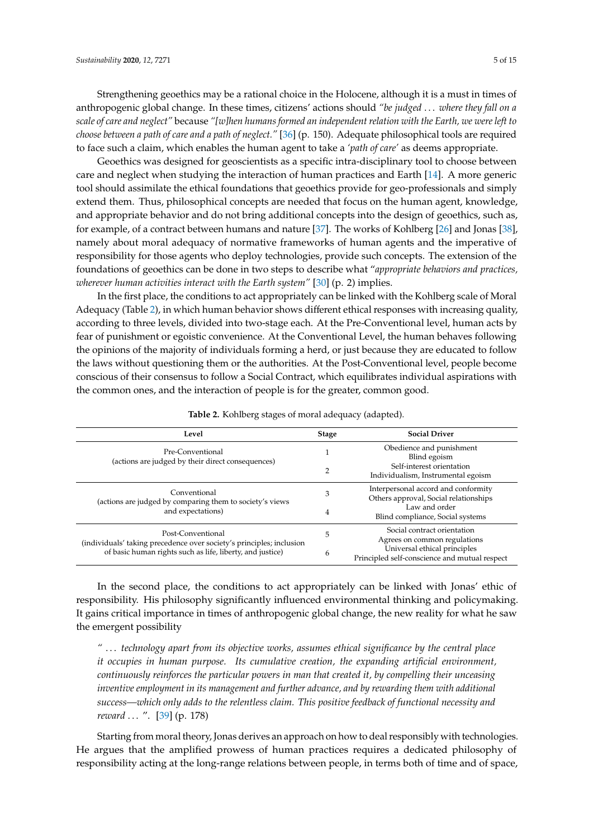Strengthening geoethics may be a rational choice in the Holocene, although it is a must in times of anthropogenic global change. In these times, citizens' actions should *"be judged* . . . *where they fall on a scale of care and neglect"* because *"[w]hen humans formed an independent relation with the Earth, we were left to choose between a path of care and a path of neglect."* [\[36\]](#page-13-9) (p. 150). Adequate philosophical tools are required to face such a claim, which enables the human agent to take a *'path of care'* as deems appropriate.

Geoethics was designed for geoscientists as a specific intra-disciplinary tool to choose between care and neglect when studying the interaction of human practices and Earth [\[14\]](#page-12-13). A more generic tool should assimilate the ethical foundations that geoethics provide for geo-professionals and simply extend them. Thus, philosophical concepts are needed that focus on the human agent, knowledge, and appropriate behavior and do not bring additional concepts into the design of geoethics, such as, for example, of a contract between humans and nature [\[37\]](#page-13-10). The works of Kohlberg [\[26\]](#page-12-25) and Jonas [\[38\]](#page-13-11), namely about moral adequacy of normative frameworks of human agents and the imperative of responsibility for those agents who deploy technologies, provide such concepts. The extension of the foundations of geoethics can be done in two steps to describe what "*appropriate behaviors and practices, wherever human activities interact with the Earth system"* [\[30\]](#page-13-3) (p. 2) implies.

In the first place, the conditions to act appropriately can be linked with the Kohlberg scale of Moral Adequacy (Table [2\)](#page-4-0), in which human behavior shows different ethical responses with increasing quality, according to three levels, divided into two-stage each. At the Pre-Conventional level, human acts by fear of punishment or egoistic convenience. At the Conventional Level, the human behaves following the opinions of the majority of individuals forming a herd, or just because they are educated to follow the laws without questioning them or the authorities. At the Post-Conventional level, people become conscious of their consensus to follow a Social Contract, which equilibrates individual aspirations with the common ones, and the interaction of people is for the greater, common good.

<span id="page-4-0"></span>

| Level                                                                                                                                                  | <b>Stage</b> | <b>Social Driver</b>                                                          |
|--------------------------------------------------------------------------------------------------------------------------------------------------------|--------------|-------------------------------------------------------------------------------|
| Pre-Conventional<br>(actions are judged by their direct consequences)                                                                                  |              | Obedience and punishment<br>Blind egoism                                      |
|                                                                                                                                                        | 2            | Self-interest orientation<br>Individualism, Instrumental egoism               |
| Conventional<br>(actions are judged by comparing them to society's views<br>and expectations)                                                          | 3            | Interpersonal accord and conformity<br>Others approval, Social relationships  |
|                                                                                                                                                        | 4            | Law and order<br>Blind compliance, Social systems                             |
| Post-Conventional<br>(individuals' taking precedence over society's principles; inclusion<br>of basic human rights such as life, liberty, and justice) | 5            | Social contract orientation<br>Agrees on common regulations                   |
|                                                                                                                                                        | 6            | Universal ethical principles<br>Principled self-conscience and mutual respect |

**Table 2.** Kohlberg stages of moral adequacy (adapted).

In the second place, the conditions to act appropriately can be linked with Jonas' ethic of responsibility. His philosophy significantly influenced environmental thinking and policymaking. It gains critical importance in times of anthropogenic global change, the new reality for what he saw the emergent possibility

*"* . . . *technology apart from its objective works, assumes ethical significance by the central place it occupies in human purpose. Its cumulative creation, the expanding artificial environment, continuously reinforces the particular powers in man that created it, by compelling their unceasing inventive employment in its management and further advance, and by rewarding them with additional success—which only adds to the relentless claim. This positive feedback of functional necessity and reward* . . . ". [\[39\]](#page-13-12) (p. 178)

Starting from moral theory, Jonas derives an approach on how to deal responsibly with technologies. He argues that the amplified prowess of human practices requires a dedicated philosophy of responsibility acting at the long-range relations between people, in terms both of time and of space,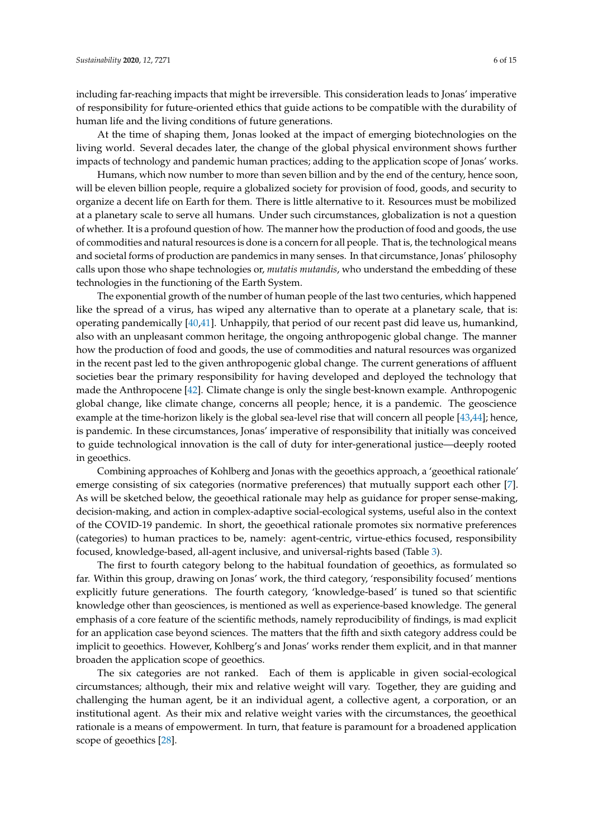including far-reaching impacts that might be irreversible. This consideration leads to Jonas' imperative of responsibility for future-oriented ethics that guide actions to be compatible with the durability of human life and the living conditions of future generations.

At the time of shaping them, Jonas looked at the impact of emerging biotechnologies on the living world. Several decades later, the change of the global physical environment shows further impacts of technology and pandemic human practices; adding to the application scope of Jonas' works.

Humans, which now number to more than seven billion and by the end of the century, hence soon, will be eleven billion people, require a globalized society for provision of food, goods, and security to organize a decent life on Earth for them. There is little alternative to it. Resources must be mobilized at a planetary scale to serve all humans. Under such circumstances, globalization is not a question of whether. It is a profound question of how. The manner how the production of food and goods, the use of commodities and natural resources is done is a concern for all people. That is, the technological means and societal forms of production are pandemics in many senses. In that circumstance, Jonas' philosophy calls upon those who shape technologies or, *mutatis mutandis*, who understand the embedding of these technologies in the functioning of the Earth System.

The exponential growth of the number of human people of the last two centuries, which happened like the spread of a virus, has wiped any alternative than to operate at a planetary scale, that is: operating pandemically  $[40,41]$  $[40,41]$ . Unhappily, that period of our recent past did leave us, humankind, also with an unpleasant common heritage, the ongoing anthropogenic global change. The manner how the production of food and goods, the use of commodities and natural resources was organized in the recent past led to the given anthropogenic global change. The current generations of affluent societies bear the primary responsibility for having developed and deployed the technology that made the Anthropocene [\[42\]](#page-13-15). Climate change is only the single best-known example. Anthropogenic global change, like climate change, concerns all people; hence, it is a pandemic. The geoscience example at the time-horizon likely is the global sea-level rise that will concern all people [\[43](#page-13-16)[,44\]](#page-13-17); hence, is pandemic. In these circumstances, Jonas' imperative of responsibility that initially was conceived to guide technological innovation is the call of duty for inter-generational justice—deeply rooted in geoethics.

Combining approaches of Kohlberg and Jonas with the geoethics approach, a 'geoethical rationale' emerge consisting of six categories (normative preferences) that mutually support each other [\[7\]](#page-12-6). As will be sketched below, the geoethical rationale may help as guidance for proper sense-making, decision-making, and action in complex-adaptive social-ecological systems, useful also in the context of the COVID-19 pandemic. In short, the geoethical rationale promotes six normative preferences (categories) to human practices to be, namely: agent-centric, virtue-ethics focused, responsibility focused, knowledge-based, all-agent inclusive, and universal-rights based (Table [3\)](#page-6-0).

The first to fourth category belong to the habitual foundation of geoethics, as formulated so far. Within this group, drawing on Jonas' work, the third category, 'responsibility focused' mentions explicitly future generations. The fourth category, 'knowledge-based' is tuned so that scientific knowledge other than geosciences, is mentioned as well as experience-based knowledge. The general emphasis of a core feature of the scientific methods, namely reproducibility of findings, is mad explicit for an application case beyond sciences. The matters that the fifth and sixth category address could be implicit to geoethics. However, Kohlberg's and Jonas' works render them explicit, and in that manner broaden the application scope of geoethics.

The six categories are not ranked. Each of them is applicable in given social-ecological circumstances; although, their mix and relative weight will vary. Together, they are guiding and challenging the human agent, be it an individual agent, a collective agent, a corporation, or an institutional agent. As their mix and relative weight varies with the circumstances, the geoethical rationale is a means of empowerment. In turn, that feature is paramount for a broadened application scope of geoethics [\[28\]](#page-13-1).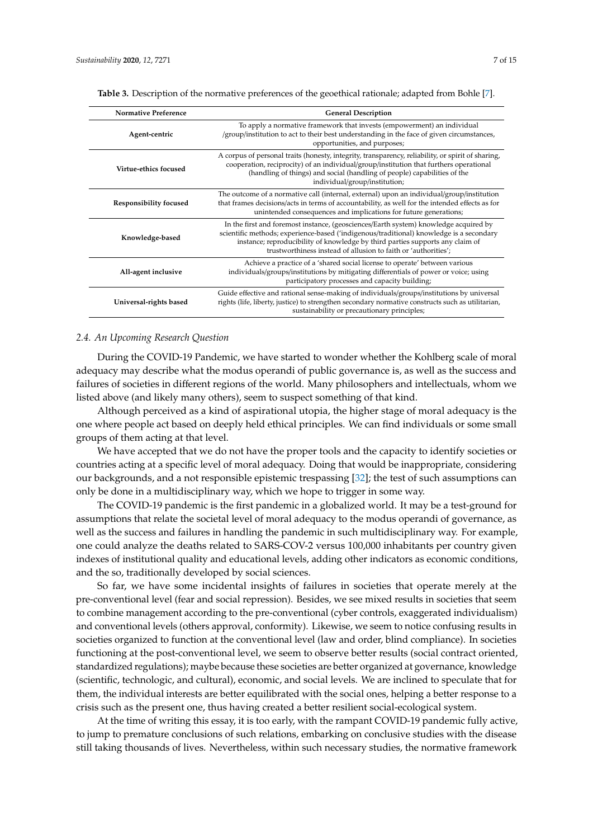| <b>Normative Preference</b> | <b>General Description</b>                                                                                                                                                                                                                                                                                                         |
|-----------------------------|------------------------------------------------------------------------------------------------------------------------------------------------------------------------------------------------------------------------------------------------------------------------------------------------------------------------------------|
| Agent-centric               | To apply a normative framework that invests (empowerment) an individual<br>/group/institution to act to their best understanding in the face of given circumstances,<br>opportunities, and purposes;                                                                                                                               |
| Virtue-ethics focused       | A corpus of personal traits (honesty, integrity, transparency, reliability, or spirit of sharing,<br>cooperation, reciprocity) of an individual/group/institution that furthers operational<br>(handling of things) and social (handling of people) capabilities of the<br>individual/group/institution;                           |
| Responsibility focused      | The outcome of a normative call (internal, external) upon an individual/group/institution<br>that frames decisions/acts in terms of accountability, as well for the intended effects as for<br>unintended consequences and implications for future generations;                                                                    |
| Knowledge-based             | In the first and foremost instance, (geosciences/Earth system) knowledge acquired by<br>scientific methods; experience-based ('indigenous/traditional) knowledge is a secondary<br>instance; reproducibility of knowledge by third parties supports any claim of<br>trustworthiness instead of allusion to faith or 'authorities'; |
| All-agent inclusive         | Achieve a practice of a 'shared social license to operate' between various<br>individuals/groups/institutions by mitigating differentials of power or voice; using<br>participatory processes and capacity building;                                                                                                               |
| Universal-rights based      | Guide effective and rational sense-making of individuals/groups/institutions by universal<br>rights (life, liberty, justice) to strengthen secondary normative constructs such as utilitarian,<br>sustainability or precautionary principles;                                                                                      |

<span id="page-6-0"></span>**Table 3.** Description of the normative preferences of the geoethical rationale; adapted from Bohle [\[7\]](#page-12-6).

#### *2.4. An Upcoming Research Question*

During the COVID-19 Pandemic, we have started to wonder whether the Kohlberg scale of moral adequacy may describe what the modus operandi of public governance is, as well as the success and failures of societies in different regions of the world. Many philosophers and intellectuals, whom we listed above (and likely many others), seem to suspect something of that kind.

Although perceived as a kind of aspirational utopia, the higher stage of moral adequacy is the one where people act based on deeply held ethical principles. We can find individuals or some small groups of them acting at that level.

We have accepted that we do not have the proper tools and the capacity to identify societies or countries acting at a specific level of moral adequacy. Doing that would be inappropriate, considering our backgrounds, and a not responsible epistemic trespassing [\[32\]](#page-13-5); the test of such assumptions can only be done in a multidisciplinary way, which we hope to trigger in some way.

The COVID-19 pandemic is the first pandemic in a globalized world. It may be a test-ground for assumptions that relate the societal level of moral adequacy to the modus operandi of governance, as well as the success and failures in handling the pandemic in such multidisciplinary way. For example, one could analyze the deaths related to SARS-COV-2 versus 100,000 inhabitants per country given indexes of institutional quality and educational levels, adding other indicators as economic conditions, and the so, traditionally developed by social sciences.

So far, we have some incidental insights of failures in societies that operate merely at the pre-conventional level (fear and social repression). Besides, we see mixed results in societies that seem to combine management according to the pre-conventional (cyber controls, exaggerated individualism) and conventional levels (others approval, conformity). Likewise, we seem to notice confusing results in societies organized to function at the conventional level (law and order, blind compliance). In societies functioning at the post-conventional level, we seem to observe better results (social contract oriented, standardized regulations); maybe because these societies are better organized at governance, knowledge (scientific, technologic, and cultural), economic, and social levels. We are inclined to speculate that for them, the individual interests are better equilibrated with the social ones, helping a better response to a crisis such as the present one, thus having created a better resilient social-ecological system.

At the time of writing this essay, it is too early, with the rampant COVID-19 pandemic fully active, to jump to premature conclusions of such relations, embarking on conclusive studies with the disease still taking thousands of lives. Nevertheless, within such necessary studies, the normative framework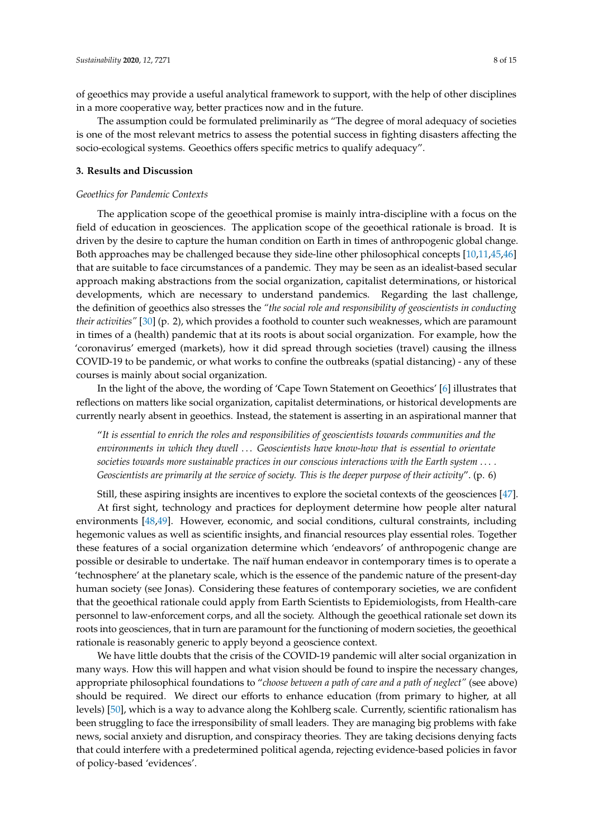of geoethics may provide a useful analytical framework to support, with the help of other disciplines in a more cooperative way, better practices now and in the future.

The assumption could be formulated preliminarily as "The degree of moral adequacy of societies is one of the most relevant metrics to assess the potential success in fighting disasters affecting the socio-ecological systems. Geoethics offers specific metrics to qualify adequacy".

#### <span id="page-7-0"></span>**3. Results and Discussion**

#### *Geoethics for Pandemic Contexts*

The application scope of the geoethical promise is mainly intra-discipline with a focus on the field of education in geosciences. The application scope of the geoethical rationale is broad. It is driven by the desire to capture the human condition on Earth in times of anthropogenic global change. Both approaches may be challenged because they side-line other philosophical concepts [\[10,](#page-12-9)[11,](#page-12-10)[45](#page-13-18)[,46\]](#page-13-19) that are suitable to face circumstances of a pandemic. They may be seen as an idealist-based secular approach making abstractions from the social organization, capitalist determinations, or historical developments, which are necessary to understand pandemics. Regarding the last challenge, the definition of geoethics also stresses the *"the social role and responsibility of geoscientists in conducting their activities"* [\[30\]](#page-13-3) (p. 2), which provides a foothold to counter such weaknesses, which are paramount in times of a (health) pandemic that at its roots is about social organization. For example, how the 'coronavirus' emerged (markets), how it did spread through societies (travel) causing the illness COVID-19 to be pandemic, or what works to confine the outbreaks (spatial distancing) - any of these courses is mainly about social organization.

In the light of the above, the wording of 'Cape Town Statement on Geoethics' [\[6\]](#page-12-5) illustrates that reflections on matters like social organization, capitalist determinations, or historical developments are currently nearly absent in geoethics. Instead, the statement is asserting in an aspirational manner that

"*It is essential to enrich the roles and responsibilities of geoscientists towards communities and the environments in which they dwell* . . . *Geoscientists have know-how that is essential to orientate societies towards more sustainable practices in our conscious interactions with the Earth system* . . . *. Geoscientists are primarily at the service of society. This is the deeper purpose of their activity*". (p. 6)

Still, these aspiring insights are incentives to explore the societal contexts of the geosciences [\[47\]](#page-13-20). At first sight, technology and practices for deployment determine how people alter natural environments [\[48,](#page-13-21)[49\]](#page-13-22). However, economic, and social conditions, cultural constraints, including hegemonic values as well as scientific insights, and financial resources play essential roles. Together these features of a social organization determine which 'endeavors' of anthropogenic change are possible or desirable to undertake. The naïf human endeavor in contemporary times is to operate a 'technosphere' at the planetary scale, which is the essence of the pandemic nature of the present-day human society (see Jonas). Considering these features of contemporary societies, we are confident that the geoethical rationale could apply from Earth Scientists to Epidemiologists, from Health-care personnel to law-enforcement corps, and all the society. Although the geoethical rationale set down its roots into geosciences, that in turn are paramount for the functioning of modern societies, the geoethical rationale is reasonably generic to apply beyond a geoscience context.

We have little doubts that the crisis of the COVID-19 pandemic will alter social organization in many ways. How this will happen and what vision should be found to inspire the necessary changes, appropriate philosophical foundations to "*choose between a path of care and a path of neglect"* (see above) should be required. We direct our efforts to enhance education (from primary to higher, at all levels) [\[50\]](#page-13-23), which is a way to advance along the Kohlberg scale. Currently, scientific rationalism has been struggling to face the irresponsibility of small leaders. They are managing big problems with fake news, social anxiety and disruption, and conspiracy theories. They are taking decisions denying facts that could interfere with a predetermined political agenda, rejecting evidence-based policies in favor of policy-based 'evidences'.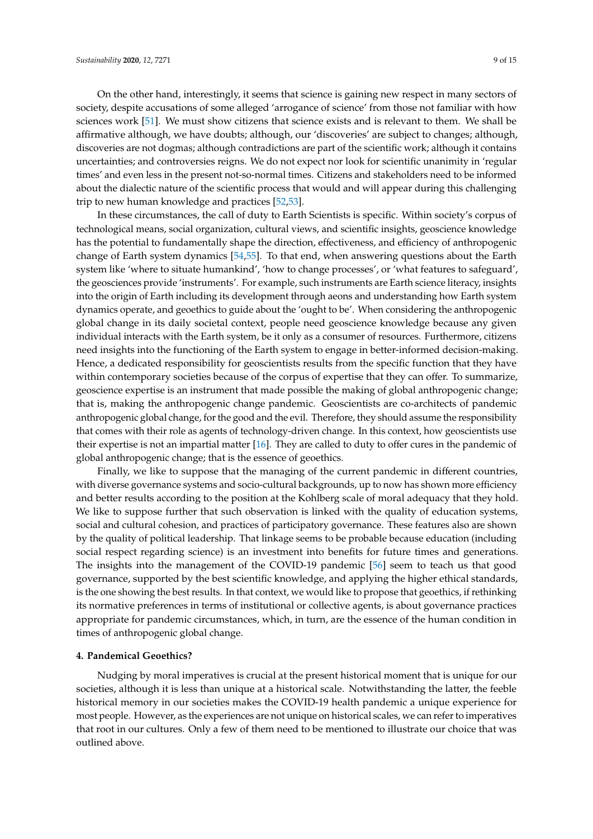On the other hand, interestingly, it seems that science is gaining new respect in many sectors of society, despite accusations of some alleged 'arrogance of science' from those not familiar with how sciences work [\[51\]](#page-13-24). We must show citizens that science exists and is relevant to them. We shall be affirmative although, we have doubts; although, our 'discoveries' are subject to changes; although, discoveries are not dogmas; although contradictions are part of the scientific work; although it contains uncertainties; and controversies reigns. We do not expect nor look for scientific unanimity in 'regular times' and even less in the present not-so-normal times. Citizens and stakeholders need to be informed about the dialectic nature of the scientific process that would and will appear during this challenging trip to new human knowledge and practices [\[52,](#page-14-0)[53\]](#page-14-1).

In these circumstances, the call of duty to Earth Scientists is specific. Within society's corpus of technological means, social organization, cultural views, and scientific insights, geoscience knowledge has the potential to fundamentally shape the direction, effectiveness, and efficiency of anthropogenic change of Earth system dynamics [\[54](#page-14-2)[,55\]](#page-14-3). To that end, when answering questions about the Earth system like 'where to situate humankind', 'how to change processes', or 'what features to safeguard', the geosciences provide 'instruments'. For example, such instruments are Earth science literacy, insights into the origin of Earth including its development through aeons and understanding how Earth system dynamics operate, and geoethics to guide about the 'ought to be'. When considering the anthropogenic global change in its daily societal context, people need geoscience knowledge because any given individual interacts with the Earth system, be it only as a consumer of resources. Furthermore, citizens need insights into the functioning of the Earth system to engage in better-informed decision-making. Hence, a dedicated responsibility for geoscientists results from the specific function that they have within contemporary societies because of the corpus of expertise that they can offer. To summarize, geoscience expertise is an instrument that made possible the making of global anthropogenic change; that is, making the anthropogenic change pandemic. Geoscientists are co-architects of pandemic anthropogenic global change, for the good and the evil. Therefore, they should assume the responsibility that comes with their role as agents of technology-driven change. In this context, how geoscientists use their expertise is not an impartial matter [\[16\]](#page-12-15). They are called to duty to offer cures in the pandemic of global anthropogenic change; that is the essence of geoethics.

Finally, we like to suppose that the managing of the current pandemic in different countries, with diverse governance systems and socio-cultural backgrounds, up to now has shown more efficiency and better results according to the position at the Kohlberg scale of moral adequacy that they hold. We like to suppose further that such observation is linked with the quality of education systems, social and cultural cohesion, and practices of participatory governance. These features also are shown by the quality of political leadership. That linkage seems to be probable because education (including social respect regarding science) is an investment into benefits for future times and generations. The insights into the management of the COVID-19 pandemic [\[56\]](#page-14-4) seem to teach us that good governance, supported by the best scientific knowledge, and applying the higher ethical standards, is the one showing the best results. In that context, we would like to propose that geoethics, if rethinking its normative preferences in terms of institutional or collective agents, is about governance practices appropriate for pandemic circumstances, which, in turn, are the essence of the human condition in times of anthropogenic global change.

#### **4. Pandemical Geoethics?**

Nudging by moral imperatives is crucial at the present historical moment that is unique for our societies, although it is less than unique at a historical scale. Notwithstanding the latter, the feeble historical memory in our societies makes the COVID-19 health pandemic a unique experience for most people. However, as the experiences are not unique on historical scales, we can refer to imperatives that root in our cultures. Only a few of them need to be mentioned to illustrate our choice that was outlined above.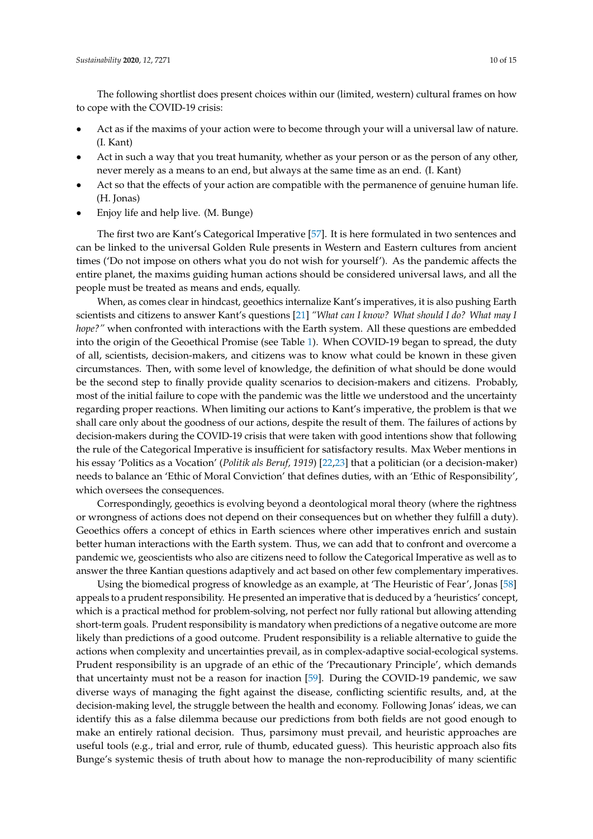The following shortlist does present choices within our (limited, western) cultural frames on how to cope with the COVID-19 crisis:

- Act as if the maxims of your action were to become through your will a universal law of nature. (I. Kant)
- Act in such a way that you treat humanity, whether as your person or as the person of any other, never merely as a means to an end, but always at the same time as an end. (I. Kant)
- Act so that the effects of your action are compatible with the permanence of genuine human life. (H. Jonas)
- Enjoy life and help live. (M. Bunge)

The first two are Kant's Categorical Imperative [\[57\]](#page-14-5). It is here formulated in two sentences and can be linked to the universal Golden Rule presents in Western and Eastern cultures from ancient times ('Do not impose on others what you do not wish for yourself'). As the pandemic affects the entire planet, the maxims guiding human actions should be considered universal laws, and all the people must be treated as means and ends, equally.

When, as comes clear in hindcast, geoethics internalize Kant's imperatives, it is also pushing Earth scientists and citizens to answer Kant's questions [\[21\]](#page-12-20) *"What can I know? What should I do? What may I hope?"* when confronted with interactions with the Earth system. All these questions are embedded into the origin of the Geoethical Promise (see Table [1\)](#page-3-0). When COVID-19 began to spread, the duty of all, scientists, decision-makers, and citizens was to know what could be known in these given circumstances. Then, with some level of knowledge, the definition of what should be done would be the second step to finally provide quality scenarios to decision-makers and citizens. Probably, most of the initial failure to cope with the pandemic was the little we understood and the uncertainty regarding proper reactions. When limiting our actions to Kant's imperative, the problem is that we shall care only about the goodness of our actions, despite the result of them. The failures of actions by decision-makers during the COVID-19 crisis that were taken with good intentions show that following the rule of the Categorical Imperative is insufficient for satisfactory results. Max Weber mentions in his essay 'Politics as a Vocation' (*Politik als Beruf, 1919*) [\[22](#page-12-21)[,23\]](#page-12-22) that a politician (or a decision-maker) needs to balance an 'Ethic of Moral Conviction' that defines duties, with an 'Ethic of Responsibility', which oversees the consequences.

Correspondingly, geoethics is evolving beyond a deontological moral theory (where the rightness or wrongness of actions does not depend on their consequences but on whether they fulfill a duty). Geoethics offers a concept of ethics in Earth sciences where other imperatives enrich and sustain better human interactions with the Earth system. Thus, we can add that to confront and overcome a pandemic we, geoscientists who also are citizens need to follow the Categorical Imperative as well as to answer the three Kantian questions adaptively and act based on other few complementary imperatives.

Using the biomedical progress of knowledge as an example, at 'The Heuristic of Fear', Jonas [\[58\]](#page-14-6) appeals to a prudent responsibility. He presented an imperative that is deduced by a 'heuristics' concept, which is a practical method for problem-solving, not perfect nor fully rational but allowing attending short-term goals. Prudent responsibility is mandatory when predictions of a negative outcome are more likely than predictions of a good outcome. Prudent responsibility is a reliable alternative to guide the actions when complexity and uncertainties prevail, as in complex-adaptive social-ecological systems. Prudent responsibility is an upgrade of an ethic of the 'Precautionary Principle', which demands that uncertainty must not be a reason for inaction [\[59\]](#page-14-7). During the COVID-19 pandemic, we saw diverse ways of managing the fight against the disease, conflicting scientific results, and, at the decision-making level, the struggle between the health and economy. Following Jonas' ideas, we can identify this as a false dilemma because our predictions from both fields are not good enough to make an entirely rational decision. Thus, parsimony must prevail, and heuristic approaches are useful tools (e.g., trial and error, rule of thumb, educated guess). This heuristic approach also fits Bunge's systemic thesis of truth about how to manage the non-reproducibility of many scientific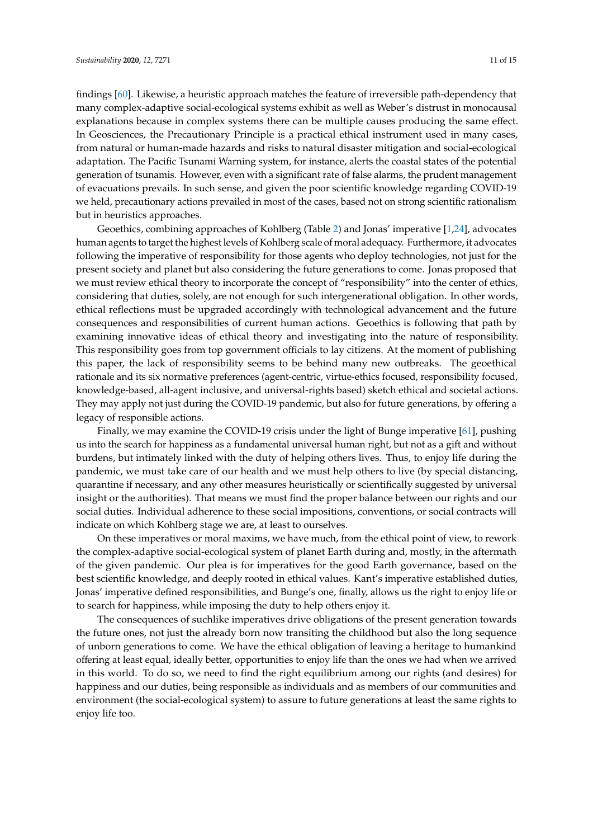findings [\[60\]](#page-14-8). Likewise, a heuristic approach matches the feature of irreversible path-dependency that many complex-adaptive social-ecological systems exhibit as well as Weber's distrust in monocausal explanations because in complex systems there can be multiple causes producing the same effect. In Geosciences, the Precautionary Principle is a practical ethical instrument used in many cases, from natural or human-made hazards and risks to natural disaster mitigation and social-ecological adaptation. The Pacific Tsunami Warning system, for instance, alerts the coastal states of the potential generation of tsunamis. However, even with a significant rate of false alarms, the prudent management of evacuations prevails. In such sense, and given the poor scientific knowledge regarding COVID-19 we held, precautionary actions prevailed in most of the cases, based not on strong scientific rationalism but in heuristics approaches.

Geoethics, combining approaches of Kohlberg (Table [2\)](#page-4-0) and Jonas' imperative [\[1,](#page-12-0)[24\]](#page-12-23), advocates human agents to target the highest levels of Kohlberg scale of moral adequacy. Furthermore, it advocates following the imperative of responsibility for those agents who deploy technologies, not just for the present society and planet but also considering the future generations to come. Jonas proposed that we must review ethical theory to incorporate the concept of "responsibility" into the center of ethics, considering that duties, solely, are not enough for such intergenerational obligation. In other words, ethical reflections must be upgraded accordingly with technological advancement and the future consequences and responsibilities of current human actions. Geoethics is following that path by examining innovative ideas of ethical theory and investigating into the nature of responsibility. This responsibility goes from top government officials to lay citizens. At the moment of publishing this paper, the lack of responsibility seems to be behind many new outbreaks. The geoethical rationale and its six normative preferences (agent-centric, virtue-ethics focused, responsibility focused, knowledge-based, all-agent inclusive, and universal-rights based) sketch ethical and societal actions. They may apply not just during the COVID-19 pandemic, but also for future generations, by offering a legacy of responsible actions.

Finally, we may examine the COVID-19 crisis under the light of Bunge imperative [\[61\]](#page-14-9), pushing us into the search for happiness as a fundamental universal human right, but not as a gift and without burdens, but intimately linked with the duty of helping others lives. Thus, to enjoy life during the pandemic, we must take care of our health and we must help others to live (by special distancing, quarantine if necessary, and any other measures heuristically or scientifically suggested by universal insight or the authorities). That means we must find the proper balance between our rights and our social duties. Individual adherence to these social impositions, conventions, or social contracts will indicate on which Kohlberg stage we are, at least to ourselves.

On these imperatives or moral maxims, we have much, from the ethical point of view, to rework the complex-adaptive social-ecological system of planet Earth during and, mostly, in the aftermath of the given pandemic. Our plea is for imperatives for the good Earth governance, based on the best scientific knowledge, and deeply rooted in ethical values. Kant's imperative established duties, Jonas' imperative defined responsibilities, and Bunge's one, finally, allows us the right to enjoy life or to search for happiness, while imposing the duty to help others enjoy it.

The consequences of suchlike imperatives drive obligations of the present generation towards the future ones, not just the already born now transiting the childhood but also the long sequence of unborn generations to come. We have the ethical obligation of leaving a heritage to humankind offering at least equal, ideally better, opportunities to enjoy life than the ones we had when we arrived in this world. To do so, we need to find the right equilibrium among our rights (and desires) for happiness and our duties, being responsible as individuals and as members of our communities and environment (the social-ecological system) to assure to future generations at least the same rights to enjoy life too.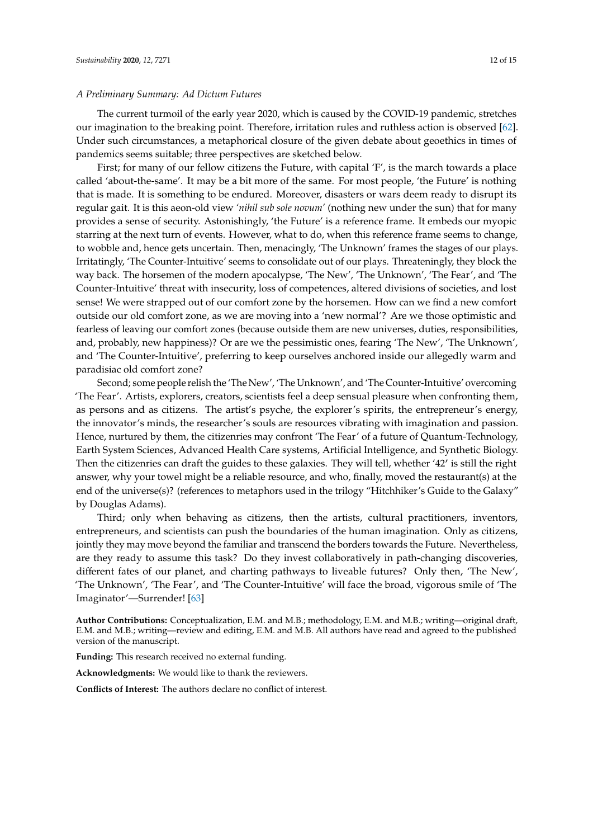#### *A Preliminary Summary: Ad Dictum Futures*

The current turmoil of the early year 2020, which is caused by the COVID-19 pandemic, stretches our imagination to the breaking point. Therefore, irritation rules and ruthless action is observed [\[62\]](#page-14-10). Under such circumstances, a metaphorical closure of the given debate about geoethics in times of pandemics seems suitable; three perspectives are sketched below.

First; for many of our fellow citizens the Future, with capital 'F', is the march towards a place called 'about-the-same'. It may be a bit more of the same. For most people, 'the Future' is nothing that is made. It is something to be endured. Moreover, disasters or wars deem ready to disrupt its regular gait. It is this aeon-old view *'nihil sub sole novum'* (nothing new under the sun) that for many provides a sense of security. Astonishingly, 'the Future' is a reference frame. It embeds our myopic starring at the next turn of events. However, what to do, when this reference frame seems to change, to wobble and, hence gets uncertain. Then, menacingly, 'The Unknown' frames the stages of our plays. Irritatingly, 'The Counter-Intuitive' seems to consolidate out of our plays. Threateningly, they block the way back. The horsemen of the modern apocalypse, 'The New', 'The Unknown', 'The Fear', and 'The Counter-Intuitive' threat with insecurity, loss of competences, altered divisions of societies, and lost sense! We were strapped out of our comfort zone by the horsemen. How can we find a new comfort outside our old comfort zone, as we are moving into a 'new normal'? Are we those optimistic and fearless of leaving our comfort zones (because outside them are new universes, duties, responsibilities, and, probably, new happiness)? Or are we the pessimistic ones, fearing 'The New', 'The Unknown', and 'The Counter-Intuitive', preferring to keep ourselves anchored inside our allegedly warm and paradisiac old comfort zone?

Second; some people relish the 'The New', 'The Unknown', and 'The Counter-Intuitive' overcoming 'The Fear'. Artists, explorers, creators, scientists feel a deep sensual pleasure when confronting them, as persons and as citizens. The artist's psyche, the explorer's spirits, the entrepreneur's energy, the innovator's minds, the researcher's souls are resources vibrating with imagination and passion. Hence, nurtured by them, the citizenries may confront 'The Fear' of a future of Quantum-Technology, Earth System Sciences, Advanced Health Care systems, Artificial Intelligence, and Synthetic Biology. Then the citizenries can draft the guides to these galaxies. They will tell, whether '42' is still the right answer, why your towel might be a reliable resource, and who, finally, moved the restaurant(s) at the end of the universe(s)? (references to metaphors used in the trilogy "Hitchhiker's Guide to the Galaxy" by Douglas Adams).

Third; only when behaving as citizens, then the artists, cultural practitioners, inventors, entrepreneurs, and scientists can push the boundaries of the human imagination. Only as citizens, jointly they may move beyond the familiar and transcend the borders towards the Future. Nevertheless, are they ready to assume this task? Do they invest collaboratively in path-changing discoveries, different fates of our planet, and charting pathways to liveable futures? Only then, 'The New', 'The Unknown', 'The Fear', and 'The Counter-Intuitive' will face the broad, vigorous smile of 'The Imaginator'—Surrender! [\[63\]](#page-14-11)

**Author Contributions:** Conceptualization, E.M. and M.B.; methodology, E.M. and M.B.; writing—original draft, E.M. and M.B.; writing—review and editing, E.M. and M.B. All authors have read and agreed to the published version of the manuscript.

**Funding:** This research received no external funding.

**Acknowledgments:** We would like to thank the reviewers.

**Conflicts of Interest:** The authors declare no conflict of interest.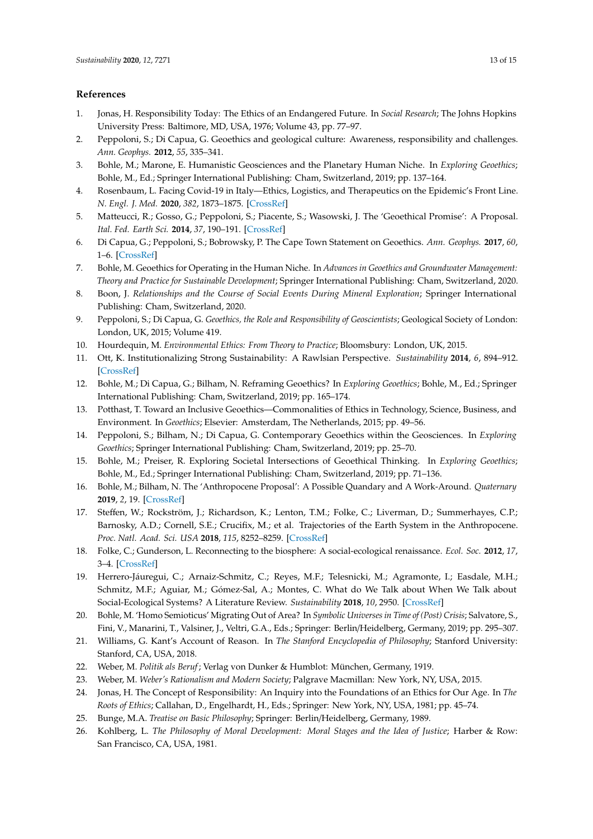## **References**

- <span id="page-12-0"></span>1. Jonas, H. Responsibility Today: The Ethics of an Endangered Future. In *Social Research*; The Johns Hopkins University Press: Baltimore, MD, USA, 1976; Volume 43, pp. 77–97.
- <span id="page-12-1"></span>2. Peppoloni, S.; Di Capua, G. Geoethics and geological culture: Awareness, responsibility and challenges. *Ann. Geophys.* **2012**, *55*, 335–341.
- <span id="page-12-2"></span>3. Bohle, M.; Marone, E. Humanistic Geosciences and the Planetary Human Niche. In *Exploring Geoethics*; Bohle, M., Ed.; Springer International Publishing: Cham, Switzerland, 2019; pp. 137–164.
- <span id="page-12-3"></span>4. Rosenbaum, L. Facing Covid-19 in Italy—Ethics, Logistics, and Therapeutics on the Epidemic's Front Line. *N. Engl. J. Med.* **2020**, *382*, 1873–1875. [\[CrossRef\]](http://dx.doi.org/10.1056/NEJMp2005492)
- <span id="page-12-4"></span>5. Matteucci, R.; Gosso, G.; Peppoloni, S.; Piacente, S.; Wasowski, J. The 'Geoethical Promise': A Proposal. *Ital. Fed. Earth Sci.* **2014**, *37*, 190–191. [\[CrossRef\]](http://dx.doi.org/10.18814/epiiugs/2014/v37i3/004)
- <span id="page-12-5"></span>6. Di Capua, G.; Peppoloni, S.; Bobrowsky, P. The Cape Town Statement on Geoethics. *Ann. Geophys.* **2017**, *60*, 1–6. [\[CrossRef\]](http://dx.doi.org/10.4401/ag-7553)
- <span id="page-12-6"></span>7. Bohle, M. Geoethics for Operating in the Human Niche. In *Advances in Geoethics and Groundwater Management: Theory and Practice for Sustainable Development*; Springer International Publishing: Cham, Switzerland, 2020.
- <span id="page-12-7"></span>8. Boon, J. *Relationships and the Course of Social Events During Mineral Exploration*; Springer International Publishing: Cham, Switzerland, 2020.
- <span id="page-12-8"></span>9. Peppoloni, S.; Di Capua, G. *Geoethics, the Role and Responsibility of Geoscientists*; Geological Society of London: London, UK, 2015; Volume 419.
- <span id="page-12-9"></span>10. Hourdequin, M. *Environmental Ethics: From Theory to Practice*; Bloomsbury: London, UK, 2015.
- <span id="page-12-10"></span>11. Ott, K. Institutionalizing Strong Sustainability: A Rawlsian Perspective. *Sustainability* **2014**, *6*, 894–912. [\[CrossRef\]](http://dx.doi.org/10.3390/su6020894)
- <span id="page-12-11"></span>12. Bohle, M.; Di Capua, G.; Bilham, N. Reframing Geoethics? In *Exploring Geoethics*; Bohle, M., Ed.; Springer International Publishing: Cham, Switzerland, 2019; pp. 165–174.
- <span id="page-12-12"></span>13. Potthast, T. Toward an Inclusive Geoethics—Commonalities of Ethics in Technology, Science, Business, and Environment. In *Geoethics*; Elsevier: Amsterdam, The Netherlands, 2015; pp. 49–56.
- <span id="page-12-13"></span>14. Peppoloni, S.; Bilham, N.; Di Capua, G. Contemporary Geoethics within the Geosciences. In *Exploring Geoethics*; Springer International Publishing: Cham, Switzerland, 2019; pp. 25–70.
- <span id="page-12-14"></span>15. Bohle, M.; Preiser, R. Exploring Societal Intersections of Geoethical Thinking. In *Exploring Geoethics*; Bohle, M., Ed.; Springer International Publishing: Cham, Switzerland, 2019; pp. 71–136.
- <span id="page-12-15"></span>16. Bohle, M.; Bilham, N. The 'Anthropocene Proposal': A Possible Quandary and A Work-Around. *Quaternary* **2019**, *2*, 19. [\[CrossRef\]](http://dx.doi.org/10.3390/quat2020019)
- <span id="page-12-16"></span>17. Steffen, W.; Rockström, J.; Richardson, K.; Lenton, T.M.; Folke, C.; Liverman, D.; Summerhayes, C.P.; Barnosky, A.D.; Cornell, S.E.; Crucifix, M.; et al. Trajectories of the Earth System in the Anthropocene. *Proc. Natl. Acad. Sci. USA* **2018**, *115*, 8252–8259. [\[CrossRef\]](http://dx.doi.org/10.1073/pnas.1810141115)
- <span id="page-12-17"></span>18. Folke, C.; Gunderson, L. Reconnecting to the biosphere: A social-ecological renaissance. *Ecol. Soc.* **2012**, *17*, 3–4. [\[CrossRef\]](http://dx.doi.org/10.5751/ES-05517-170455)
- <span id="page-12-18"></span>19. Herrero-Jáuregui, C.; Arnaiz-Schmitz, C.; Reyes, M.F.; Telesnicki, M.; Agramonte, I.; Easdale, M.H.; Schmitz, M.F.; Aguiar, M.; Gómez-Sal, A.; Montes, C. What do We Talk about When We Talk about Social-Ecological Systems? A Literature Review. *Sustainability* **2018**, *10*, 2950. [\[CrossRef\]](http://dx.doi.org/10.3390/su10082950)
- <span id="page-12-19"></span>20. Bohle, M. 'Homo Semioticus' Migrating Out of Area? In *Symbolic Universes in Time of (Post) Crisis*; Salvatore, S., Fini, V., Manarini, T., Valsiner, J., Veltri, G.A., Eds.; Springer: Berlin/Heidelberg, Germany, 2019; pp. 295–307.
- <span id="page-12-20"></span>21. Williams, G. Kant's Account of Reason. In *The Stanford Encyclopedia of Philosophy*; Stanford University: Stanford, CA, USA, 2018.
- <span id="page-12-21"></span>22. Weber, M. *Politik als Beruf*; Verlag von Dunker & Humblot: München, Germany, 1919.
- <span id="page-12-22"></span>23. Weber, M. *Weber's Rationalism and Modern Society*; Palgrave Macmillan: New York, NY, USA, 2015.
- <span id="page-12-23"></span>24. Jonas, H. The Concept of Responsibility: An Inquiry into the Foundations of an Ethics for Our Age. In *The Roots of Ethics*; Callahan, D., Engelhardt, H., Eds.; Springer: New York, NY, USA, 1981; pp. 45–74.
- <span id="page-12-24"></span>25. Bunge, M.A. *Treatise on Basic Philosophy*; Springer: Berlin/Heidelberg, Germany, 1989.
- <span id="page-12-25"></span>26. Kohlberg, L. *The Philosophy of Moral Development: Moral Stages and the Idea of Justice*; Harber & Row: San Francisco, CA, USA, 1981.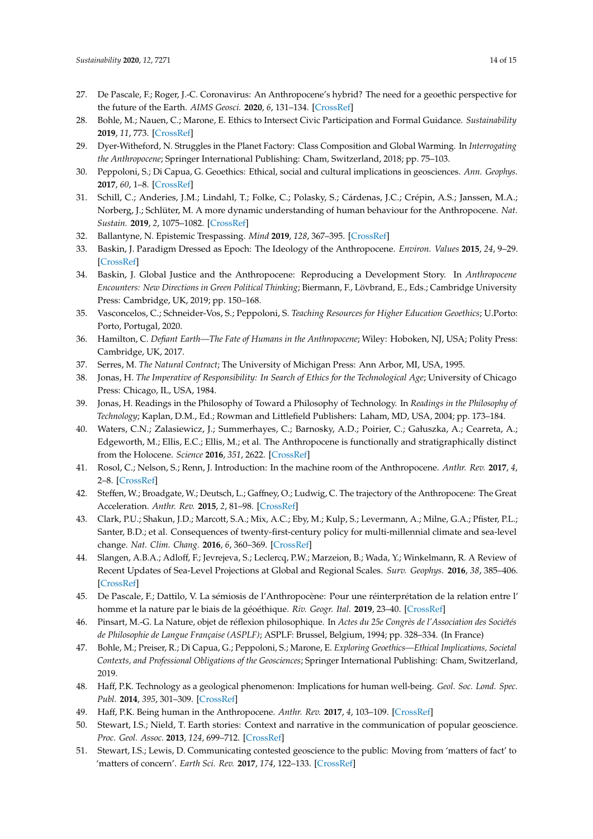- <span id="page-13-0"></span>27. De Pascale, F.; Roger, J.-C. Coronavirus: An Anthropocene's hybrid? The need for a geoethic perspective for the future of the Earth. *AIMS Geosci.* **2020**, *6*, 131–134. [\[CrossRef\]](http://dx.doi.org/10.3934/geosci.2020008)
- <span id="page-13-1"></span>28. Bohle, M.; Nauen, C.; Marone, E. Ethics to Intersect Civic Participation and Formal Guidance. *Sustainability* **2019**, *11*, 773. [\[CrossRef\]](http://dx.doi.org/10.3390/su11030773)
- <span id="page-13-2"></span>29. Dyer-Witheford, N. Struggles in the Planet Factory: Class Composition and Global Warming. In *Interrogating the Anthropocene*; Springer International Publishing: Cham, Switzerland, 2018; pp. 75–103.
- <span id="page-13-3"></span>30. Peppoloni, S.; Di Capua, G. Geoethics: Ethical, social and cultural implications in geosciences. *Ann. Geophys.* **2017**, *60*, 1–8. [\[CrossRef\]](http://dx.doi.org/10.4401/ag-7473)
- <span id="page-13-4"></span>31. Schill, C.; Anderies, J.M.; Lindahl, T.; Folke, C.; Polasky, S.; Cárdenas, J.C.; Crépin, A.S.; Janssen, M.A.; Norberg, J.; Schlüter, M. A more dynamic understanding of human behaviour for the Anthropocene. *Nat. Sustain.* **2019**, *2*, 1075–1082. [\[CrossRef\]](http://dx.doi.org/10.1038/s41893-019-0419-7)
- <span id="page-13-5"></span>32. Ballantyne, N. Epistemic Trespassing. *Mind* **2019**, *128*, 367–395. [\[CrossRef\]](http://dx.doi.org/10.1093/mind/fzx042)
- <span id="page-13-6"></span>33. Baskin, J. Paradigm Dressed as Epoch: The Ideology of the Anthropocene. *Environ. Values* **2015**, *24*, 9–29. [\[CrossRef\]](http://dx.doi.org/10.3197/096327115X14183182353746)
- <span id="page-13-7"></span>34. Baskin, J. Global Justice and the Anthropocene: Reproducing a Development Story. In *Anthropocene Encounters: New Directions in Green Political Thinking*; Biermann, F., Lövbrand, E., Eds.; Cambridge University Press: Cambridge, UK, 2019; pp. 150–168.
- <span id="page-13-8"></span>35. Vasconcelos, C.; Schneider-Vos, S.; Peppoloni, S. *Teaching Resources for Higher Education Geoethics*; U.Porto: Porto, Portugal, 2020.
- <span id="page-13-9"></span>36. Hamilton, C. *Defiant Earth—The Fate of Humans in the Anthropocene*; Wiley: Hoboken, NJ, USA; Polity Press: Cambridge, UK, 2017.
- <span id="page-13-10"></span>37. Serres, M. *The Natural Contract*; The University of Michigan Press: Ann Arbor, MI, USA, 1995.
- <span id="page-13-11"></span>38. Jonas, H. *The Imperative of Responsibility: In Search of Ethics for the Technological Age*; University of Chicago Press: Chicago, IL, USA, 1984.
- <span id="page-13-12"></span>39. Jonas, H. Readings in the Philosophy of Toward a Philosophy of Technology. In *Readings in the Philosophy of Technology*; Kaplan, D.M., Ed.; Rowman and Littlefield Publishers: Laham, MD, USA, 2004; pp. 173–184.
- <span id="page-13-13"></span>40. Waters, C.N.; Zalasiewicz, J.; Summerhayes, C.; Barnosky, A.D.; Poirier, C.; Gałuszka, A.; Cearreta, A.; Edgeworth, M.; Ellis, E.C.; Ellis, M.; et al. The Anthropocene is functionally and stratigraphically distinct from the Holocene. *Science* **2016**, *351*, 2622. [\[CrossRef\]](http://dx.doi.org/10.1126/science.aad2622)
- <span id="page-13-14"></span>41. Rosol, C.; Nelson, S.; Renn, J. Introduction: In the machine room of the Anthropocene. *Anthr. Rev.* **2017**, *4*, 2–8. [\[CrossRef\]](http://dx.doi.org/10.1177/2053019617701165)
- <span id="page-13-15"></span>42. Steffen, W.; Broadgate, W.; Deutsch, L.; Gaffney, O.; Ludwig, C. The trajectory of the Anthropocene: The Great Acceleration. *Anthr. Rev.* **2015**, *2*, 81–98. [\[CrossRef\]](http://dx.doi.org/10.1177/2053019614564785)
- <span id="page-13-16"></span>43. Clark, P.U.; Shakun, J.D.; Marcott, S.A.; Mix, A.C.; Eby, M.; Kulp, S.; Levermann, A.; Milne, G.A.; Pfister, P.L.; Santer, B.D.; et al. Consequences of twenty-first-century policy for multi-millennial climate and sea-level change. *Nat. Clim. Chang.* **2016**, *6*, 360–369. [\[CrossRef\]](http://dx.doi.org/10.1038/nclimate2923)
- <span id="page-13-17"></span>44. Slangen, A.B.A.; Adloff, F.; Jevrejeva, S.; Leclercq, P.W.; Marzeion, B.; Wada, Y.; Winkelmann, R. A Review of Recent Updates of Sea-Level Projections at Global and Regional Scales. *Surv. Geophys.* **2016**, *38*, 385–406. [\[CrossRef\]](http://dx.doi.org/10.1007/s10712-016-9374-2)
- <span id="page-13-18"></span>45. De Pascale, F.; Dattilo, V. La sémiosis de l'Anthropocène: Pour une réinterprétation de la relation entre l' homme et la nature par le biais de la géoéthique. *Riv. Geogr. Ital.* **2019**, 23–40. [\[CrossRef\]](http://dx.doi.org/10.3280/RGI2019-002002)
- <span id="page-13-19"></span>46. Pinsart, M.-G. La Nature, objet de réflexion philosophique. In *Actes du 25e Congrès de l'Association des Sociétés de Philosophie de Langue Française (ASPLF)*; ASPLF: Brussel, Belgium, 1994; pp. 328–334. (In France)
- <span id="page-13-20"></span>47. Bohle, M.; Preiser, R.; Di Capua, G.; Peppoloni, S.; Marone, E. *Exploring Geoethics—Ethical Implications, Societal Contexts, and Professional Obligations of the Geosciences*; Springer International Publishing: Cham, Switzerland, 2019.
- <span id="page-13-21"></span>48. Haff, P.K. Technology as a geological phenomenon: Implications for human well-being. *Geol. Soc. Lond. Spec. Publ.* **2014**, *395*, 301–309. [\[CrossRef\]](http://dx.doi.org/10.1144/SP395.4)
- <span id="page-13-22"></span>49. Haff, P.K. Being human in the Anthropocene. *Anthr. Rev.* **2017**, *4*, 103–109. [\[CrossRef\]](http://dx.doi.org/10.1177/2053019617700875)
- <span id="page-13-23"></span>50. Stewart, I.S.; Nield, T. Earth stories: Context and narrative in the communication of popular geoscience. *Proc. Geol. Assoc.* **2013**, *124*, 699–712. [\[CrossRef\]](http://dx.doi.org/10.1016/j.pgeola.2012.08.008)
- <span id="page-13-24"></span>51. Stewart, I.S.; Lewis, D. Communicating contested geoscience to the public: Moving from 'matters of fact' to 'matters of concern'. *Earth Sci. Rev.* **2017**, *174*, 122–133. [\[CrossRef\]](http://dx.doi.org/10.1016/j.earscirev.2017.09.003)